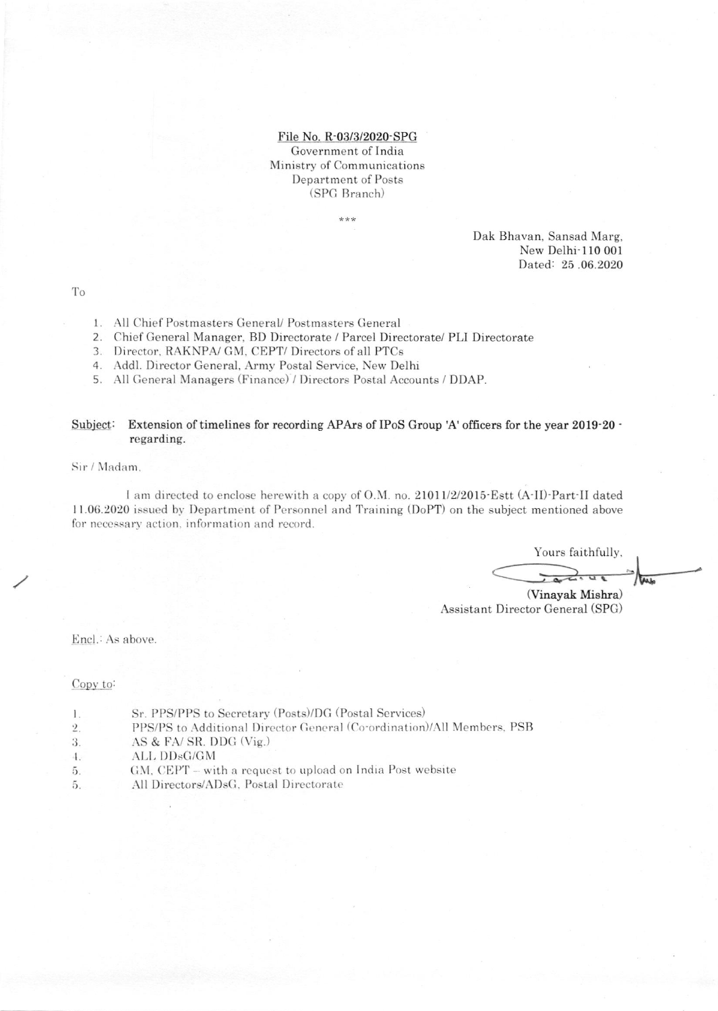File No. R-03/3/2020-SPG Government of India Ministry of Communications Department of Posts (SPG Branch)

\*\*\*

Dak Bhavan, Sansad Marg, New Delhi-110 001 Dated: 25.06.2020

To

- 1. All Chief Postmasters General/ Postmasters General
- 2. Chief General Manager, BD Directorate / Parcel Directorate/ PLI Directorate
- 3. Director, RAKNPA/ GM, CEPT/ Directors of all PTCs
- 4. Addl. Director General, Army Postal Service, New Delhi
- 5. All General Managers (Finance) / Directors Postal Accounts / DDAP.

### Subject: Extension of timelines for recording APArs of IPoS Group 'A' officers for the year 2019-20 regarding.

Sir / Madam.

I am directed to enclose herewith a copy of O.M. no. 21011/2/2015 Estt (A-II) Part-II dated 11.06.2020 issued by Department of Personnel and Training (DoPT) on the subject mentioned above for necessary action, information and record.

Yours faithfully, tas

(Vinayak Mishra) Assistant Director General (SPG)

Encl.: As above.

Copy to:

- Sr. PPS/PPS to Secretary (Posts)/DG (Postal Services)  $\mathbf{l}$  .
- PPS/PS to Additional Director General (Co-ordination)/All Members, PSB  $\overline{2}$ .
- AS & FA/SR. DDG (Vig.) 3.
- $4.$ ALL DDsG/GM
- GM, CEPT with a request to upload on India Post website 5.
- All Directors/ADsG, Postal Directorate 5.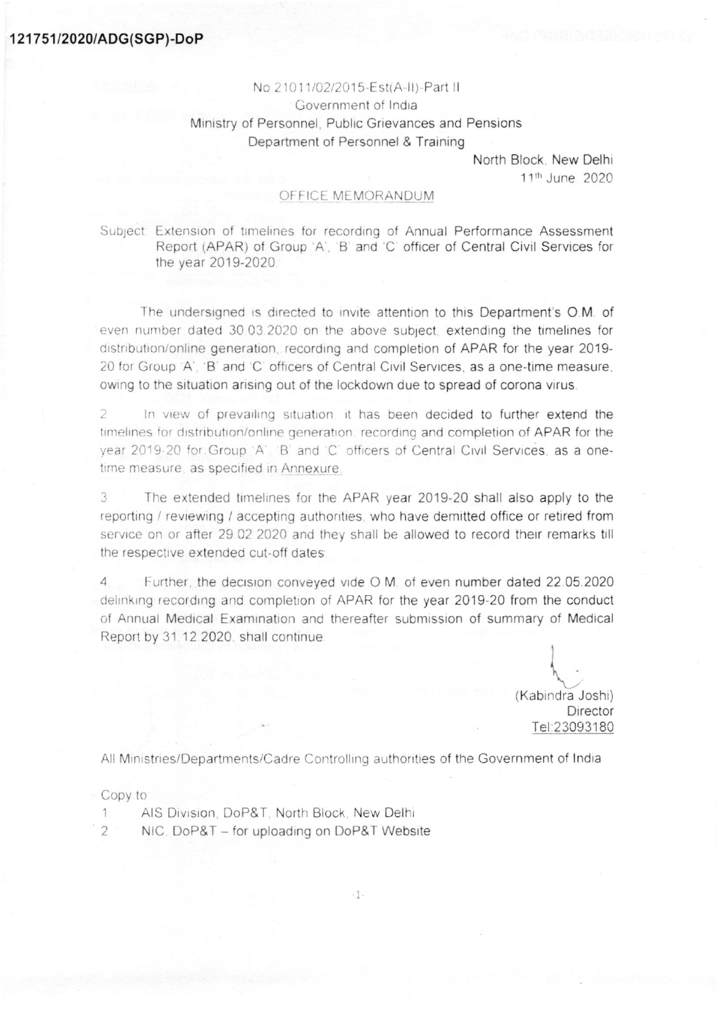## 121751/2020/ADG(SGP)-DoP

# No.21011/02/2015-Est(A-II)-Part II Government of India Ministry of Personnel, Public Grievances and Pensions Department of Personnel & Training

North Block, New Delhi 11th June 2020

### OFFICE MEMORANDUM

Subject: Extension of timelines for recording of Annual Performance Assessment Report (APAR) of Group 'A', 'B' and 'C' officer of Central Civil Services for the year 2019-2020.

The undersigned is directed to invite attention to this Department's O.M. of even number dated 30.03.2020 on the above subject, extending the timelines for distribution/online generation, recording and completion of APAR for the year 2019-20 for Group 'A', 'B' and 'C' officers of Central Civil Services, as a one-time measure, owing to the situation arising out of the lockdown due to spread of corona virus.

In view of prevailing situation it has been decided to further extend the 2 timelines for distribution/online generation, recording and completion of APAR for the year 2019-20 for Group 'A'. B' and 'C' officers of Central Civil Services, as a onetime measure, as specified in Annexure.

3 The extended timelines for the APAR year 2019-20 shall also apply to the reporting / reviewing / accepting authorities, who have demitted office or retired from service on or after 29 02 2020 and they shall be allowed to record their remarks till the respective extended cut-off dates:

 $\Delta$ Further, the decision conveyed vide O.M. of even number dated 22.05.2020 delinking recording and completion of APAR for the year 2019-20 from the conduct of Annual Medical Examination and thereafter submission of summary of Medical Report by 31.12.2020, shall continue.

> (Kabindra Joshi) Director Tel:23093180

All Ministries/Departments/Cadre Controlling authorities of the Government of India

 $-1-$ 

#### Copy to:

- AIS Division, DoP&T, North Block, New Delhi  $\mathbf{1}$
- NIC. DoP&T for uploading on DoP&T Website  $\overline{2}$